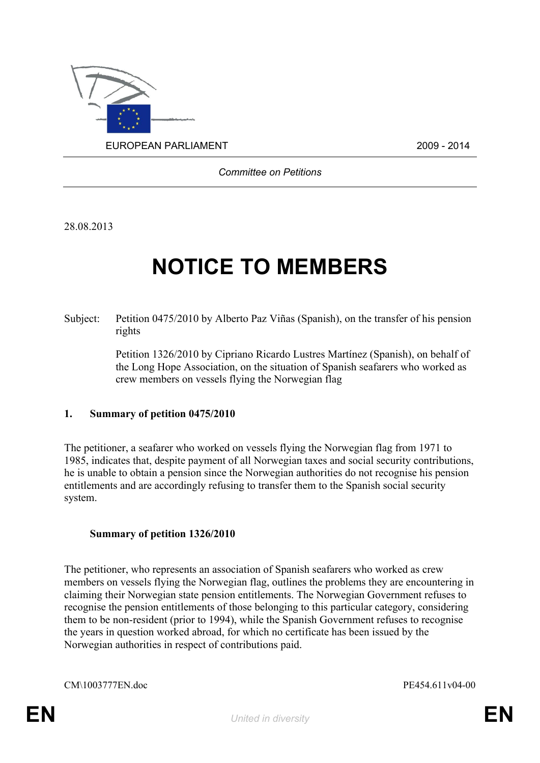

*Committee on Petitions*

28.08.2013

# **NOTICE TO MEMBERS**

Subject: Petition 0475/2010 by Alberto Paz Viñas (Spanish), on the transfer of his pension rights

> Petition 1326/2010 by Cipriano Ricardo Lustres Martínez (Spanish), on behalf of the Long Hope Association, on the situation of Spanish seafarers who worked as crew members on vessels flying the Norwegian flag

#### **1. Summary of petition 0475/2010**

The petitioner, a seafarer who worked on vessels flying the Norwegian flag from 1971 to 1985, indicates that, despite payment of all Norwegian taxes and social security contributions, he is unable to obtain a pension since the Norwegian authorities do not recognise his pension entitlements and are accordingly refusing to transfer them to the Spanish social security system.

#### **Summary of petition 1326/2010**

The petitioner, who represents an association of Spanish seafarers who worked as crew members on vessels flying the Norwegian flag, outlines the problems they are encountering in claiming their Norwegian state pension entitlements. The Norwegian Government refuses to recognise the pension entitlements of those belonging to this particular category, considering them to be non-resident (prior to 1994), while the Spanish Government refuses to recognise the years in question worked abroad, for which no certificate has been issued by the Norwegian authorities in respect of contributions paid.

CM\1003777EN.doc PE454.611v04-00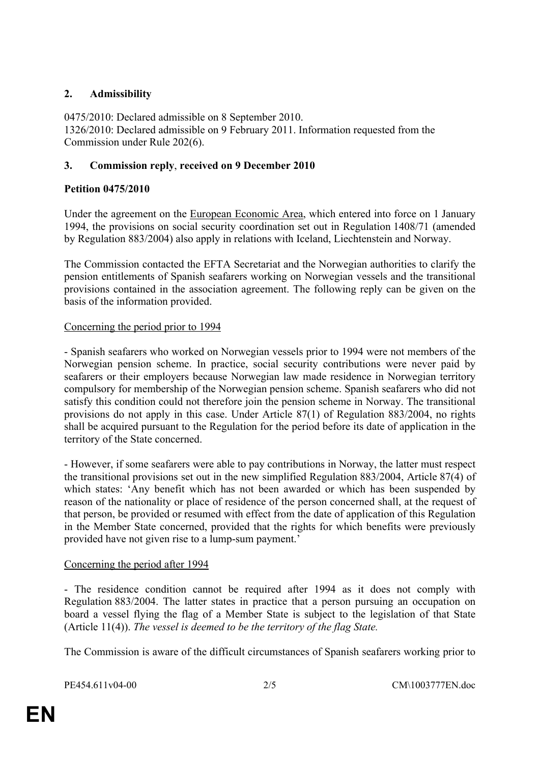# **2. Admissibility**

0475/2010: Declared admissible on 8 September 2010. 1326/2010: Declared admissible on 9 February 2011. Information requested from the Commission under Rule 202(6).

## **3. Commission reply**, **received on 9 December 2010**

# **Petition 0475/2010**

Under the agreement on the European Economic Area, which entered into force on 1 January 1994, the provisions on social security coordination set out in Regulation 1408/71 (amended by Regulation 883/2004) also apply in relations with Iceland, Liechtenstein and Norway.

The Commission contacted the EFTA Secretariat and the Norwegian authorities to clarify the pension entitlements of Spanish seafarers working on Norwegian vessels and the transitional provisions contained in the association agreement. The following reply can be given on the basis of the information provided.

## Concerning the period prior to 1994

- Spanish seafarers who worked on Norwegian vessels prior to 1994 were not members of the Norwegian pension scheme. In practice, social security contributions were never paid by seafarers or their employers because Norwegian law made residence in Norwegian territory compulsory for membership of the Norwegian pension scheme. Spanish seafarers who did not satisfy this condition could not therefore join the pension scheme in Norway. The transitional provisions do not apply in this case. Under Article 87(1) of Regulation 883/2004, no rights shall be acquired pursuant to the Regulation for the period before its date of application in the territory of the State concerned.

- However, if some seafarers were able to pay contributions in Norway, the latter must respect the transitional provisions set out in the new simplified Regulation 883/2004, Article 87(4) of which states: 'Any benefit which has not been awarded or which has been suspended by reason of the nationality or place of residence of the person concerned shall, at the request of that person, be provided or resumed with effect from the date of application of this Regulation in the Member State concerned, provided that the rights for which benefits were previously provided have not given rise to a lump-sum payment.'

## Concerning the period after 1994

- The residence condition cannot be required after 1994 as it does not comply with Regulation 883/2004. The latter states in practice that a person pursuing an occupation on board a vessel flying the flag of a Member State is subject to the legislation of that State (Article 11(4)). *The vessel is deemed to be the territory of the flag State.*

The Commission is aware of the difficult circumstances of Spanish seafarers working prior to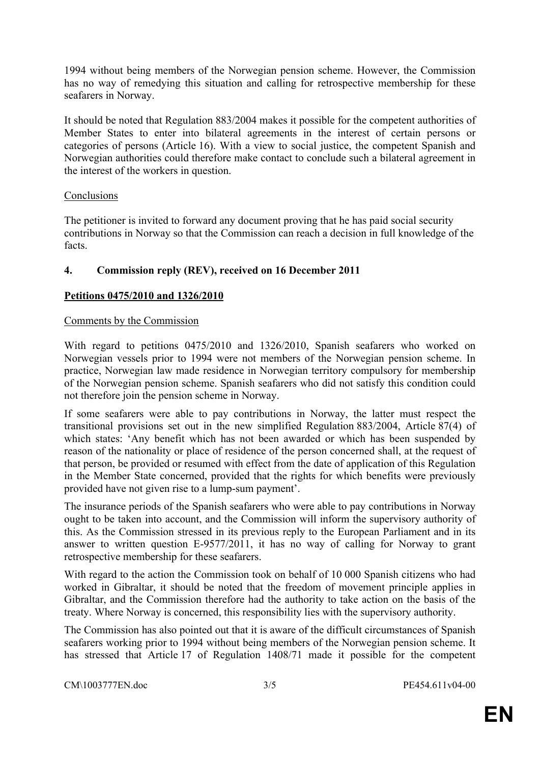1994 without being members of the Norwegian pension scheme. However, the Commission has no way of remedying this situation and calling for retrospective membership for these seafarers in Norway.

It should be noted that Regulation 883/2004 makes it possible for the competent authorities of Member States to enter into bilateral agreements in the interest of certain persons or categories of persons (Article 16). With a view to social justice, the competent Spanish and Norwegian authorities could therefore make contact to conclude such a bilateral agreement in the interest of the workers in question.

### **Conclusions**

The petitioner is invited to forward any document proving that he has paid social security contributions in Norway so that the Commission can reach a decision in full knowledge of the facts.

## **4. Commission reply (REV), received on 16 December 2011**

### **Petitions 0475/2010 and 1326/2010**

#### Comments by the Commission

With regard to petitions 0475/2010 and 1326/2010, Spanish seafarers who worked on Norwegian vessels prior to 1994 were not members of the Norwegian pension scheme. In practice, Norwegian law made residence in Norwegian territory compulsory for membership of the Norwegian pension scheme. Spanish seafarers who did not satisfy this condition could not therefore join the pension scheme in Norway.

If some seafarers were able to pay contributions in Norway, the latter must respect the transitional provisions set out in the new simplified Regulation 883/2004, Article 87(4) of which states: 'Any benefit which has not been awarded or which has been suspended by reason of the nationality or place of residence of the person concerned shall, at the request of that person, be provided or resumed with effect from the date of application of this Regulation in the Member State concerned, provided that the rights for which benefits were previously provided have not given rise to a lump-sum payment'.

The insurance periods of the Spanish seafarers who were able to pay contributions in Norway ought to be taken into account, and the Commission will inform the supervisory authority of this. As the Commission stressed in its previous reply to the European Parliament and in its answer to written question E-9577/2011, it has no way of calling for Norway to grant retrospective membership for these seafarers.

With regard to the action the Commission took on behalf of 10 000 Spanish citizens who had worked in Gibraltar, it should be noted that the freedom of movement principle applies in Gibraltar, and the Commission therefore had the authority to take action on the basis of the treaty. Where Norway is concerned, this responsibility lies with the supervisory authority.

The Commission has also pointed out that it is aware of the difficult circumstances of Spanish seafarers working prior to 1994 without being members of the Norwegian pension scheme. It has stressed that Article 17 of Regulation 1408/71 made it possible for the competent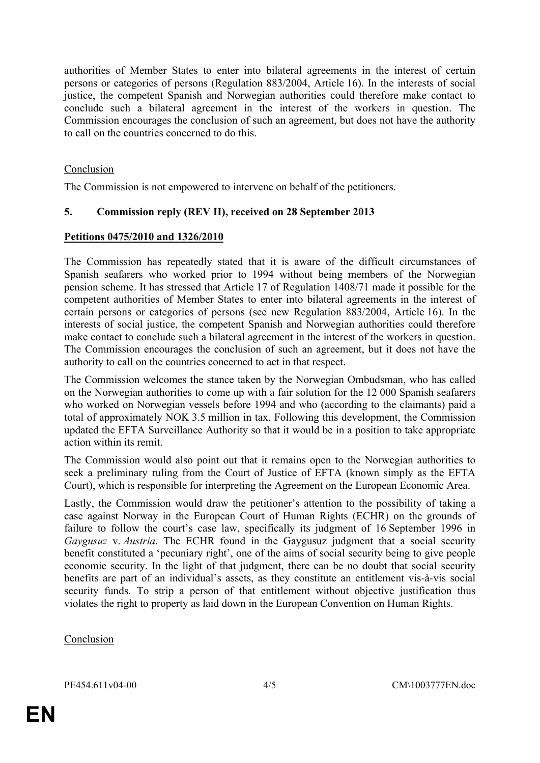authorities of Member States to enter into bilateral agreements in the interest of certain persons or categories of persons (Regulation 883/2004, Article 16). In the interests of social justice, the competent Spanish and Norwegian authorities could therefore make contact to conclude such a bilateral agreement in the interest of the workers in question. The Commission encourages the conclusion of such an agreement, but does not have the authority to call on the countries concerned to do this.

## Conclusion

The Commission is not empowered to intervene on behalf of the petitioners.

## **5. Commission reply (REV II), received on 28 September 2013**

## **Petitions 0475/2010 and 1326/2010**

The Commission has repeatedly stated that it is aware of the difficult circumstances of Spanish seafarers who worked prior to 1994 without being members of the Norwegian pension scheme. It has stressed that Article 17 of Regulation 1408/71 made it possible for the competent authorities of Member States to enter into bilateral agreements in the interest of certain persons or categories of persons (see new Regulation 883/2004, Article 16). In the interests of social justice, the competent Spanish and Norwegian authorities could therefore make contact to conclude such a bilateral agreement in the interest of the workers in question. The Commission encourages the conclusion of such an agreement, but it does not have the authority to call on the countries concerned to act in that respect.

The Commission welcomes the stance taken by the Norwegian Ombudsman, who has called on the Norwegian authorities to come up with a fair solution for the 12 000 Spanish seafarers who worked on Norwegian vessels before 1994 and who (according to the claimants) paid a total of approximately NOK 3.5 million in tax. Following this development, the Commission updated the EFTA Surveillance Authority so that it would be in a position to take appropriate action within its remit.

The Commission would also point out that it remains open to the Norwegian authorities to seek a preliminary ruling from the Court of Justice of EFTA (known simply as the EFTA Court), which is responsible for interpreting the Agreement on the European Economic Area.

Lastly, the Commission would draw the petitioner's attention to the possibility of taking a case against Norway in the European Court of Human Rights (ECHR) on the grounds of failure to follow the court's case law, specifically its judgment of 16 September 1996 in *Gaygusuz* v. *Austria*. The ECHR found in the Gaygusuz judgment that a social security benefit constituted a 'pecuniary right', one of the aims of social security being to give people economic security. In the light of that judgment, there can be no doubt that social security benefits are part of an individual's assets, as they constitute an entitlement vis-à-vis social security funds. To strip a person of that entitlement without objective justification thus violates the right to property as laid down in the European Convention on Human Rights.

### Conclusion